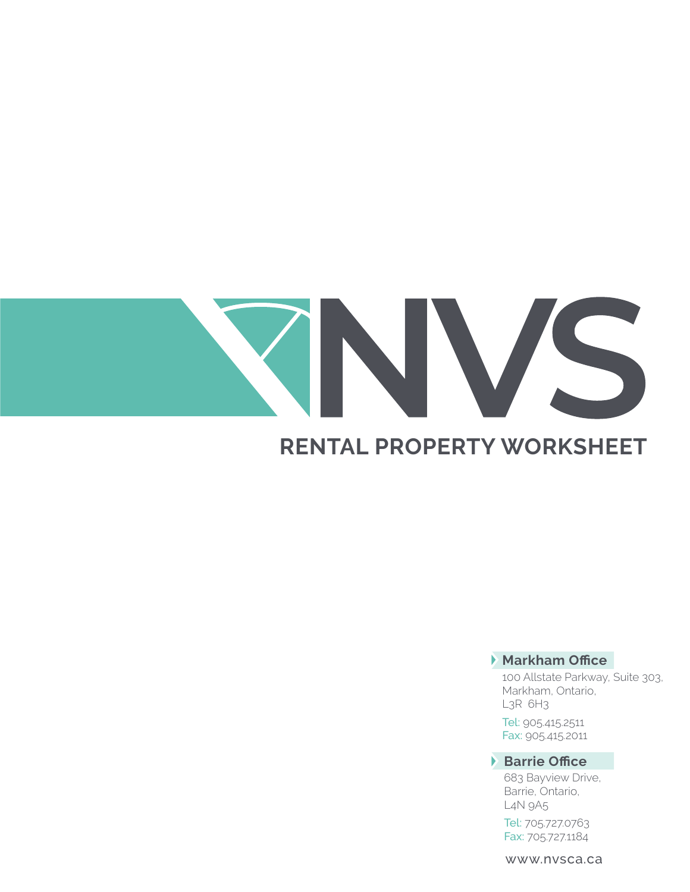# VS **RENTAL PROPERTY WORKSHEET**

# **Markham Office**

100 Allstate Parkway, Suite 303, Markham, Ontario, L3R 6H3

Tel: 905.415.2511 Fax: 905.415.2011

# **Barrie Office**

683 Bayview Drive, Barrie, Ontario, L4N 9A5

Tel: 705.727.0763 Fax: 705.727.1184

www.nvsca.ca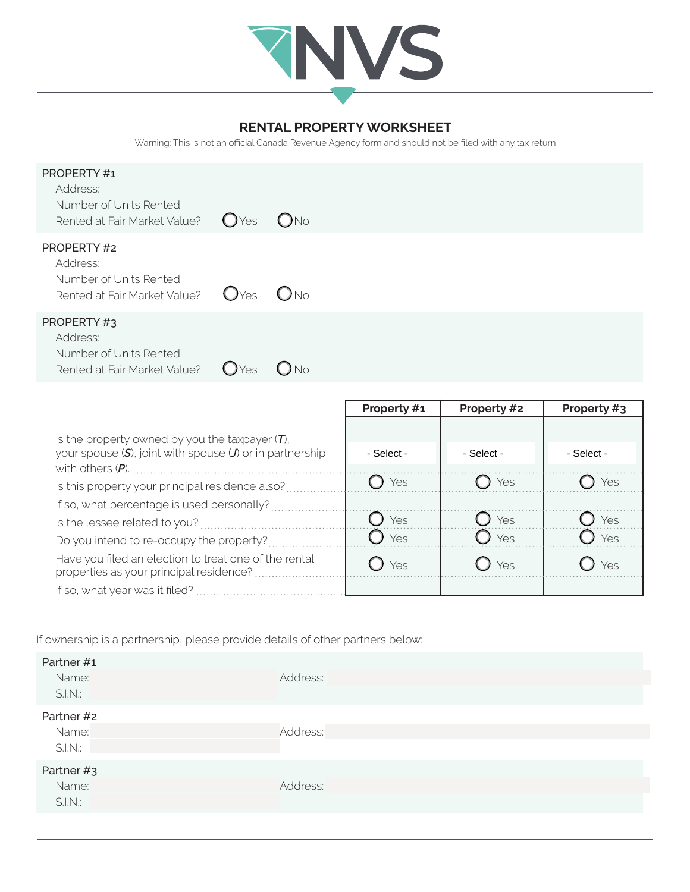

## **RENTAL PROPERTY WORKSHEET**

Warning: This is not an official Canada Revenue Agency form and should not be filed with any tax return

| PROPERTY#1<br>Address:<br>Number of Units Rented:<br>Rented at Fair Market Value? | $O$ Yes          | $O$ No            |             |             |             |
|-----------------------------------------------------------------------------------|------------------|-------------------|-------------|-------------|-------------|
| PROPERTY#2<br>Address:<br>Number of Units Rented:<br>Rented at Fair Market Value? | O <sub>Yes</sub> | $O$ No            |             |             |             |
| PROPERTY#3<br>Address:<br>Number of Units Rented:<br>Rented at Fair Market Value? | O <sub>Yes</sub> | $O$ <sub>No</sub> |             |             |             |
|                                                                                   |                  |                   | Property #1 | Property #2 | Property #3 |

| Is the property owned by you the taxpayer $(T)$ ,                                                |            |                  |            |
|--------------------------------------------------------------------------------------------------|------------|------------------|------------|
| your spouse $(S)$ , joint with spouse $(J)$ or in partnership                                    | - Select - | - Select -       | - Select - |
|                                                                                                  |            |                  |            |
| Is this property your principal residence also?                                                  | Yes        | ) Yes            | Yes        |
| If so, what percentage is used personally?                                                       |            |                  |            |
| Is the lessee related to you?                                                                    | Yes        | $\mathcal Y$ Yes | Yes        |
| Do you intend to re-occupy the property?                                                         | Yes        | $\bigcup$ Yes    | Yes        |
| Have you filed an election to treat one of the rental<br>properties as your principal residence? | Yes        | $\mathcal Y$ Yes | Yes        |
|                                                                                                  |            |                  |            |

If ownership is a partnership, please provide details of other partners below:

| Partner #1<br>Name:<br>S.I.N. | Address: |
|-------------------------------|----------|
| Partner #2<br>Name:<br>S.I.N. | Address: |
| Partner #3<br>Name:<br>S.I.N. | Address: |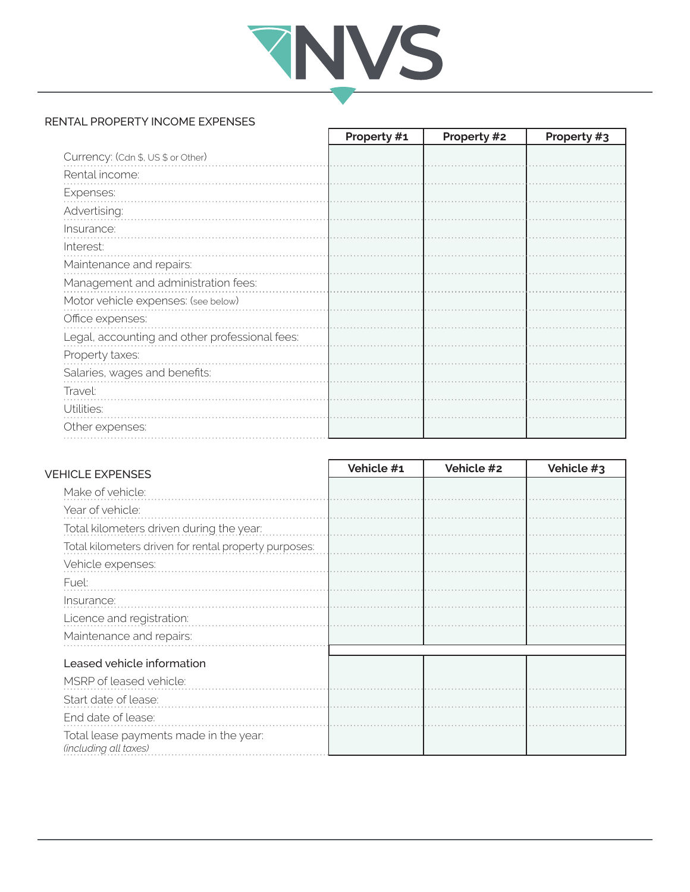

٦

### RENTAL PROPERTY INCOME EXPENSES

|                                                | Property #1 | Property #2 | Property #3 |
|------------------------------------------------|-------------|-------------|-------------|
| Currency: (Cdn \$, US \$ or Other)             |             |             |             |
| Rental income:                                 |             |             |             |
| Expenses:                                      |             |             |             |
| Advertising:                                   |             |             |             |
| Insurance:                                     |             |             |             |
| Interest:                                      |             |             |             |
| Maintenance and repairs:                       |             |             |             |
| Management and administration fees:            |             |             |             |
| Motor vehicle expenses: (see below)            |             |             |             |
| Office expenses:                               |             |             |             |
| Legal, accounting and other professional fees: |             |             |             |
| Property taxes:                                |             |             |             |
| Salaries, wages and benefits:                  |             |             |             |
| Travel:                                        |             |             |             |
| Utilities:                                     |             |             |             |
| Other expenses:                                |             |             |             |

| <b>VEHICLE EXPENSES</b>                                         | Vehicle #1 | Vehicle #2 | Vehicle #3 |
|-----------------------------------------------------------------|------------|------------|------------|
| Make of vehicle:                                                |            |            |            |
| Year of vehicle:                                                |            |            |            |
| Total kilometers driven during the year:                        |            |            |            |
| Total kilometers driven for rental property purposes:           |            |            |            |
| Vehicle expenses:                                               |            |            |            |
| Fuel:                                                           |            |            |            |
| Insurance:                                                      |            |            |            |
| Licence and registration:                                       |            |            |            |
| Maintenance and repairs:                                        |            |            |            |
| Leased vehicle information<br>MSRP of leased vehicle:           |            |            |            |
| Start date of lease:                                            |            |            |            |
| End date of lease:                                              |            |            |            |
| Total lease payments made in the year:<br>(including all taxes) |            |            |            |